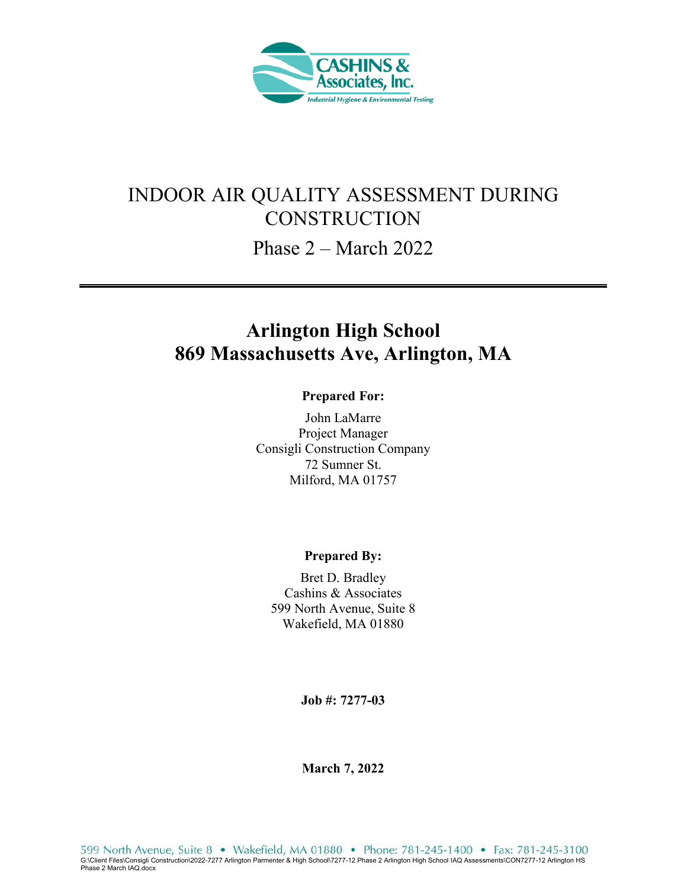

# INDOOR AIR QUALITY ASSESSMENT DURING **CONSTRUCTION**

Phase 2 – March 2022

# **Arlington High School 869 Massachusetts Ave, Arlington, MA**

#### **Prepared For:**

John LaMarre Project Manager Consigli Construction Company 72 Sumner St. Milford, MA 01757

#### **Prepared By:**

Bret D. Bradley Cashins & Associates 599 North Avenue, Suite 8 Wakefield, MA 01880

**Job #: 7277-03** 

**March 7, 2022**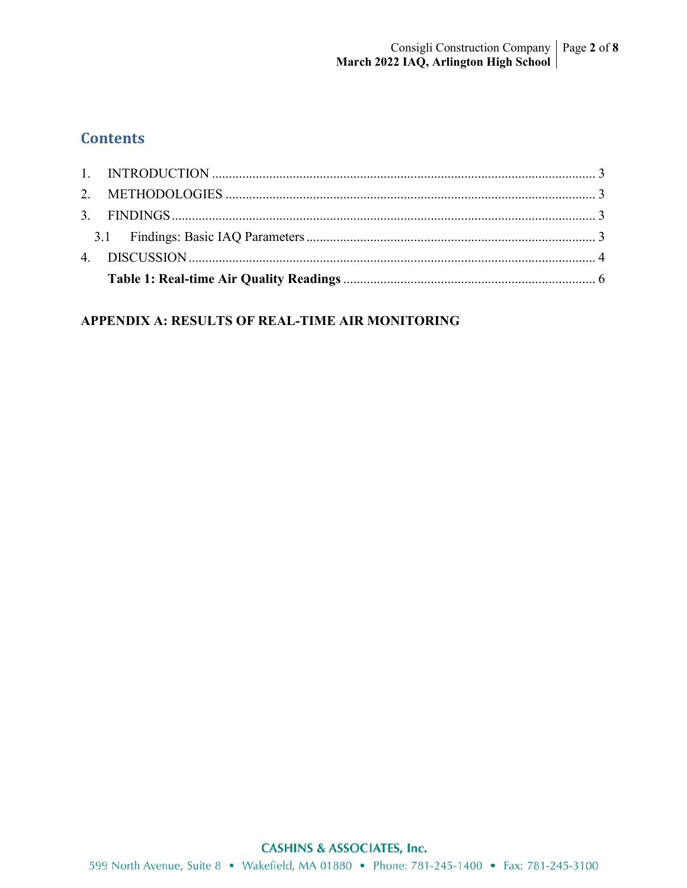# **Contents**

## APPENDIX A: RESULTS OF REAL-TIME AIR MONITORING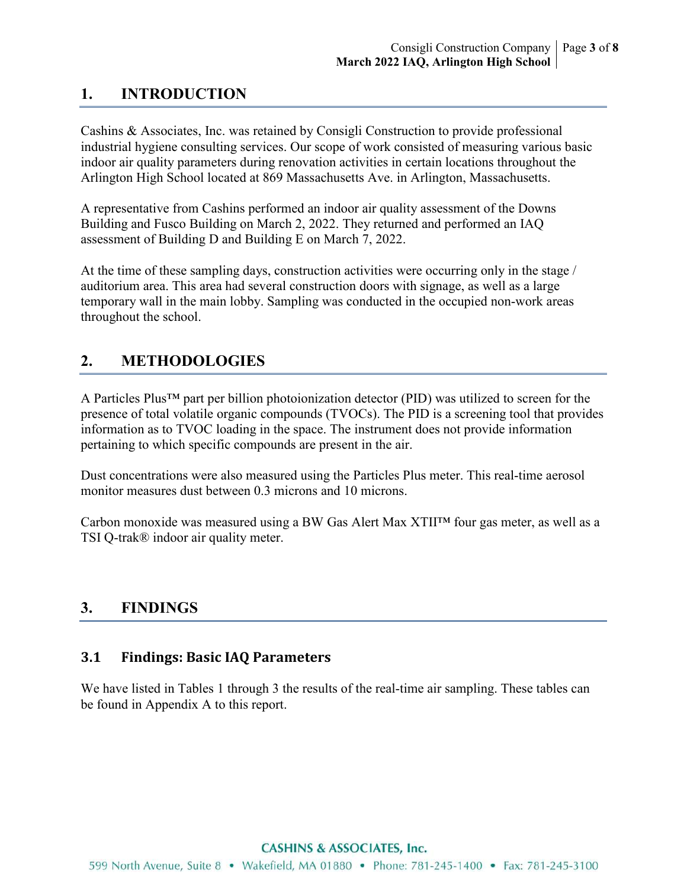# **1. INTRODUCTION**

Cashins & Associates, Inc. was retained by Consigli Construction to provide professional industrial hygiene consulting services. Our scope of work consisted of measuring various basic indoor air quality parameters during renovation activities in certain locations throughout the Arlington High School located at 869 Massachusetts Ave. in Arlington, Massachusetts.

A representative from Cashins performed an indoor air quality assessment of the Downs Building and Fusco Building on March 2, 2022. They returned and performed an IAQ assessment of Building D and Building E on March 7, 2022.

At the time of these sampling days, construction activities were occurring only in the stage / auditorium area. This area had several construction doors with signage, as well as a large temporary wall in the main lobby. Sampling was conducted in the occupied non-work areas throughout the school.

## **2. METHODOLOGIES**

A Particles Plus™ part per billion photoionization detector (PID) was utilized to screen for the presence of total volatile organic compounds (TVOCs). The PID is a screening tool that provides information as to TVOC loading in the space. The instrument does not provide information pertaining to which specific compounds are present in the air.

Dust concentrations were also measured using the Particles Plus meter. This real-time aerosol monitor measures dust between 0.3 microns and 10 microns.

Carbon monoxide was measured using a BW Gas Alert Max XTII™ four gas meter, as well as a TSI Q-trak® indoor air quality meter.

## **3. FINDINGS**

### **3.1 Findings: Basic IAQ Parameters**

We have listed in Tables 1 through 3 the results of the real-time air sampling. These tables can be found in Appendix A to this report.

#### **CASHINS & ASSOCIATES, Inc.**

599 North Avenue, Suite 8 • Wakefield, MA 01880 • Phone: 781-245-1400 • Fax: 781-245-3100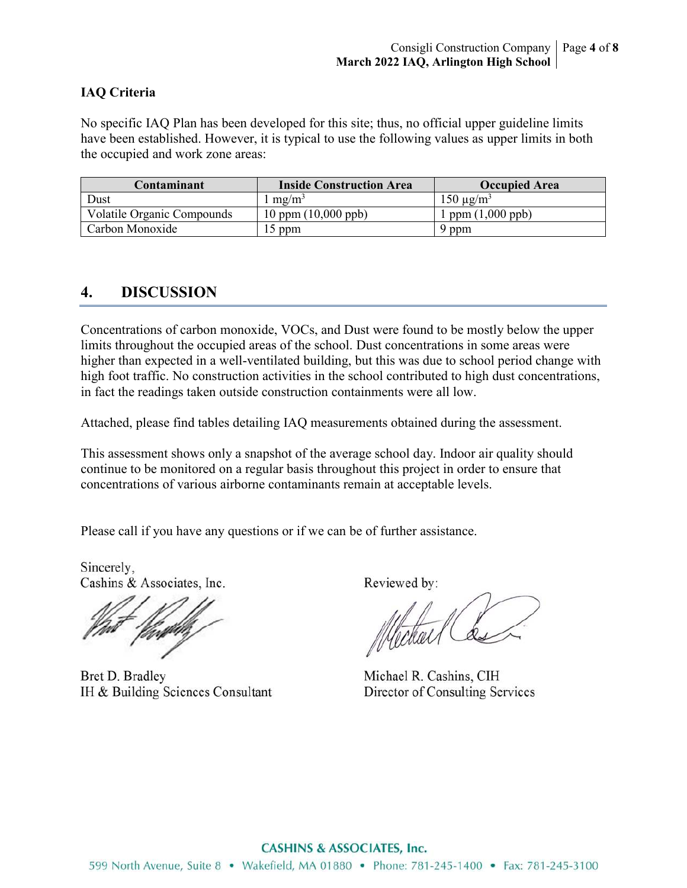#### **IAQ Criteria**

No specific IAQ Plan has been developed for this site; thus, no official upper guideline limits have been established. However, it is typical to use the following values as upper limits in both the occupied and work zone areas:

| Contaminant                       | <b>Inside Construction Area</b>       | <b>Occupied Area</b>      |
|-----------------------------------|---------------------------------------|---------------------------|
| Dust                              | $mg/m^3$                              | $150 \mu g/m^3$           |
| <b>Volatile Organic Compounds</b> | $10 \text{ ppm} (10,000 \text{ ppb})$ | ppm $(1,000 \text{ ppb})$ |
| Carbon Monoxide                   | $15$ ppm                              | 9 ppm                     |

## **4. DISCUSSION**

Concentrations of carbon monoxide, VOCs, and Dust were found to be mostly below the upper limits throughout the occupied areas of the school. Dust concentrations in some areas were higher than expected in a well-ventilated building, but this was due to school period change with high foot traffic. No construction activities in the school contributed to high dust concentrations, in fact the readings taken outside construction containments were all low.

Attached, please find tables detailing IAQ measurements obtained during the assessment.

This assessment shows only a snapshot of the average school day. Indoor air quality should continue to be monitored on a regular basis throughout this project in order to ensure that concentrations of various airborne contaminants remain at acceptable levels.

Please call if you have any questions or if we can be of further assistance.

Sincerely, Cashins & Associates, Inc.

Bret D. Bradley IH & Building Sciences Consultant

Reviewed by:

Michael R. Cashins, CIH Director of Consulting Services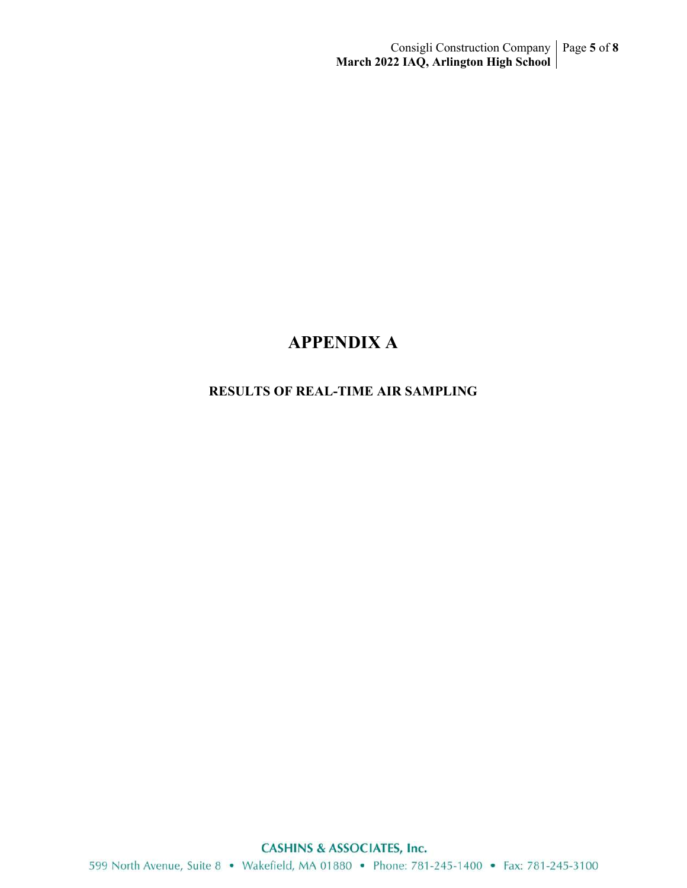# **APPENDIX A**

### **RESULTS OF REAL-TIME AIR SAMPLING**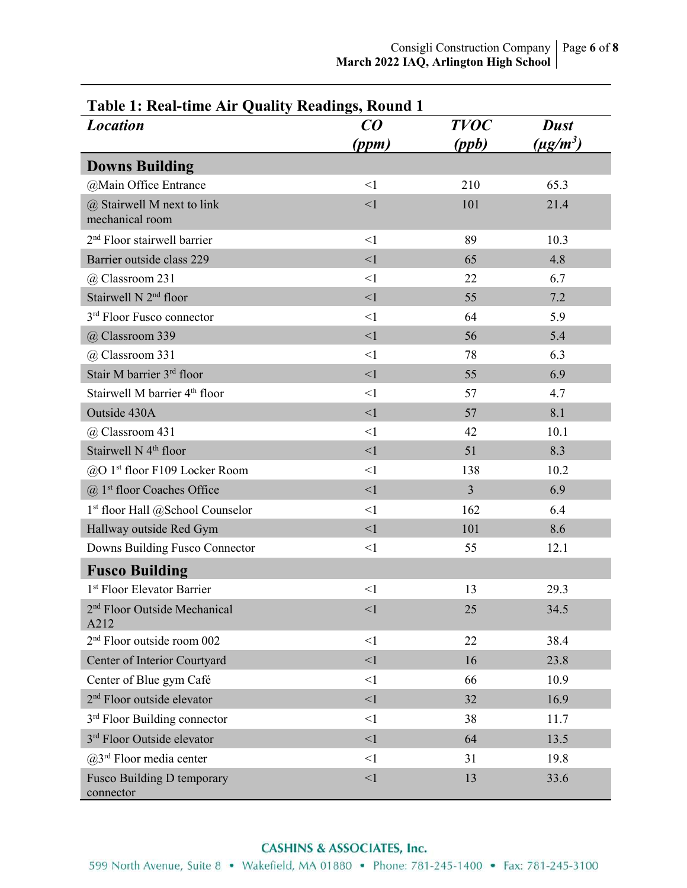| Table 1: Real-time Air Quality Readings, Round 1<br><b>TVOC</b><br>$\boldsymbol{C}\boldsymbol{O}$<br><b>Location</b><br><b>Dust</b> |          |                |               |  |
|-------------------------------------------------------------------------------------------------------------------------------------|----------|----------------|---------------|--|
|                                                                                                                                     | (ppm)    | (ppb)          | $(\mu g/m^3)$ |  |
| <b>Downs Building</b>                                                                                                               |          |                |               |  |
| @Main Office Entrance                                                                                                               | <1       | 210            | 65.3          |  |
| $(a)$ Stairwell M next to link<br>mechanical room                                                                                   | <1       | 101            | 21.4          |  |
| 2 <sup>nd</sup> Floor stairwell barrier                                                                                             | $\leq$ 1 | 89             | 10.3          |  |
| Barrier outside class 229                                                                                                           | <1       | 65             | 4.8           |  |
| @ Classroom 231                                                                                                                     | <1       | 22             | 6.7           |  |
| Stairwell N 2 <sup>nd</sup> floor                                                                                                   | <1       | 55             | 7.2           |  |
| 3 <sup>rd</sup> Floor Fusco connector                                                                                               | $\leq$ 1 | 64             | 5.9           |  |
| @ Classroom 339                                                                                                                     | $\leq$ 1 | 56             | 5.4           |  |
| @ Classroom 331                                                                                                                     | $\leq$ 1 | 78             | 6.3           |  |
| Stair M barrier 3rd floor                                                                                                           | $\leq$ 1 | 55             | 6.9           |  |
| Stairwell M barrier 4 <sup>th</sup> floor                                                                                           | <1       | 57             | 4.7           |  |
| Outside 430A                                                                                                                        | <1       | 57             | 8.1           |  |
| @ Classroom 431                                                                                                                     | $\leq$ 1 | 42             | 10.1          |  |
| Stairwell N 4 <sup>th</sup> floor                                                                                                   | $\leq$ 1 | 51             | 8.3           |  |
| @O 1 <sup>st</sup> floor F109 Locker Room                                                                                           | <1       | 138            | 10.2          |  |
| $(a)$ 1 <sup>st</sup> floor Coaches Office                                                                                          | <1       | $\overline{3}$ | 6.9           |  |
| 1 <sup>st</sup> floor Hall @School Counselor                                                                                        | $\leq$ 1 | 162            | 6.4           |  |
| Hallway outside Red Gym                                                                                                             | <1       | 101            | 8.6           |  |
| Downs Building Fusco Connector                                                                                                      | <1       | 55             | 12.1          |  |
| <b>Fusco Building</b>                                                                                                               |          |                |               |  |
| 1 <sup>st</sup> Floor Elevator Barrier                                                                                              | $\leq$ 1 | 13             | 29.3          |  |
| 2 <sup>nd</sup> Floor Outside Mechanical<br>A212                                                                                    | $\leq$ 1 | 25             | 34.5          |  |
| 2 <sup>nd</sup> Floor outside room 002                                                                                              | $\leq$ 1 | 22             | 38.4          |  |
| Center of Interior Courtyard                                                                                                        | <1       | 16             | 23.8          |  |
| Center of Blue gym Café                                                                                                             | <1       | 66             | 10.9          |  |
| 2 <sup>nd</sup> Floor outside elevator                                                                                              | <1       | 32             | 16.9          |  |
| 3 <sup>rd</sup> Floor Building connector                                                                                            | <1       | 38             | 11.7          |  |
| 3rd Floor Outside elevator                                                                                                          | <1       | 64             | 13.5          |  |
| $(a)$ 3 <sup>rd</sup> Floor media center                                                                                            | <1       | 31             | 19.8          |  |
| Fusco Building D temporary<br>connector                                                                                             | $\leq$ 1 | 13             | 33.6          |  |

## **Table 1: Real-time Air Quality Readings, Round 1**

#### **CASHINS & ASSOCIATES, Inc.**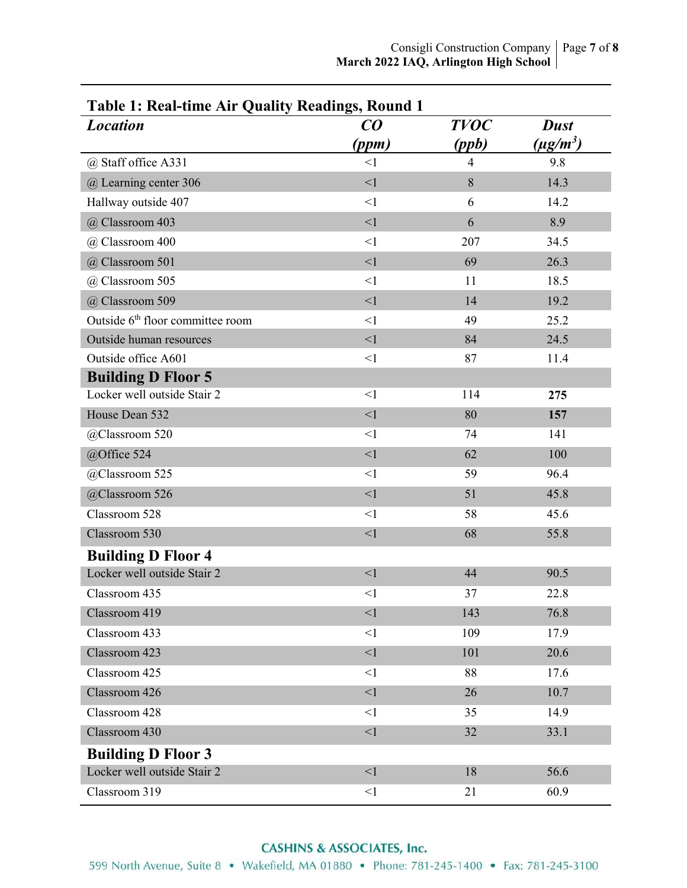| <b>Location</b>                              | CO       | <b>TVOC</b>    | <b>Dust</b>               |
|----------------------------------------------|----------|----------------|---------------------------|
|                                              | (ppm)    | (ppb)          | $(\mu$ g/m <sup>3</sup> ) |
| @ Staff office A331                          | <1       | $\overline{4}$ | 9.8                       |
| @ Learning center 306                        | $\leq$ 1 | $8\,$          | 14.3                      |
| Hallway outside 407                          | $\leq$ 1 | 6              | 14.2                      |
| @ Classroom 403                              | $\leq$ 1 | 6              | 8.9                       |
| @ Classroom 400                              | <1       | 207            | 34.5                      |
| @ Classroom 501                              | $\leq$ 1 | 69             | 26.3                      |
| @ Classroom 505                              | <1       | 11             | 18.5                      |
| @ Classroom 509                              | <1       | 14             | 19.2                      |
| Outside 6 <sup>th</sup> floor committee room | <1       | 49             | 25.2                      |
| Outside human resources                      | $\leq$ 1 | 84             | 24.5                      |
| Outside office A601                          | $\leq$ 1 | 87             | 11.4                      |
| <b>Building D Floor 5</b>                    |          |                |                           |
| Locker well outside Stair 2                  | <1       | 114            | 275                       |
| House Dean 532                               | $\leq$ 1 | 80             | 157                       |
| @Classroom 520                               | <1       | 74             | 141                       |
| @Office 524                                  | $\leq$ 1 | 62             | 100                       |
| @Classroom 525                               | $\leq$ 1 | 59             | 96.4                      |
| @Classroom 526                               | $\leq$ 1 | 51             | 45.8                      |
| Classroom 528                                | $<$ 1    | 58             | 45.6                      |
| Classroom 530                                | $\leq$ 1 | 68             | 55.8                      |
| <b>Building D Floor 4</b>                    |          |                |                           |
| Locker well outside Stair 2                  | $\leq$ 1 | 44             | 90.5                      |
| Classroom 435                                | $<$ 1    | 37             | 22.8                      |
| Classroom 419                                | $\leq$ 1 | 143            | 76.8                      |
| Classroom 433                                | $\leq$ 1 | 109            | 17.9                      |
| Classroom 423                                | $\leq$ 1 | 101            | 20.6                      |
| Classroom 425                                | $\leq$ 1 | 88             | 17.6                      |
| Classroom 426                                | $\leq$ 1 | 26             | 10.7                      |
| Classroom 428                                | $<$ 1    | 35             | 14.9                      |
| Classroom 430                                | $\leq$ 1 | 32             | 33.1                      |
| <b>Building D Floor 3</b>                    |          |                |                           |
| Locker well outside Stair 2                  | <1       | 18             | 56.6                      |
| Classroom 319                                | $\leq$ 1 | 21             | 60.9                      |

**Table 1: Real-time Air Quality Readings, Round 1** 

## **CASHINS & ASSOCIATES, Inc.**

599 North Avenue, Suite 8 • Wakefield, MA 01880 • Phone: 781-245-1400 • Fax: 781-245-3100